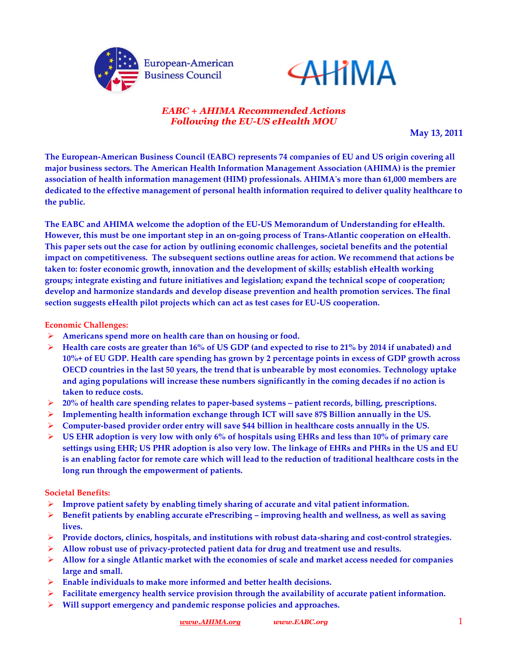



# *EABC + AHIMA Recommended Actions Following the EU-US eHealth MOU*

**May 13, 2011**

**The European-American Business Council (EABC) represents 74 companies of EU and US origin covering all major business sectors. The American Health Information Management Association (AHIMA) is the premier association of health information management (HIM) professionals. AHIMA's more than 61,000 members are dedicated to the effective management of personal health information required to deliver quality healthcare to the public.** 

**The EABC and AHIMA welcome the adoption of the EU-US Memorandum of Understanding for eHealth. However, this must be one important step in an on-going process of Trans-Atlantic cooperation on eHealth. This paper sets out the case for action by outlining economic challenges, societal benefits and the potential impact on competitiveness. The subsequent sections outline areas for action. We recommend that actions be taken to: foster economic growth, innovation and the development of skills; establish eHealth working groups; integrate existing and future initiatives and legislation; expand the technical scope of cooperation; develop and harmonize standards and develop disease prevention and health promotion services. The final section suggests eHealth pilot projects which can act as test cases for EU-US cooperation.**

### **Economic Challenges:**

- **Americans spend more on health care than on housing or food.**
- **Health care costs are greater than 16% of US GDP (and expected to rise to 21% by 2014 if unabated) and 10%+ of EU GDP. Health care spending has grown by 2 percentage points in excess of GDP growth across OECD countries in the last 50 years, the trend that is unbearable by most economies. Technology uptake and aging populations will increase these numbers significantly in the coming decades if no action is taken to reduce costs.**
- **20% of health care spending relates to paper-based systems – patient records, billing, prescriptions.**
- **Implementing health information exchange through ICT will save 87\$ Billion annually in the US.**
- **Computer-based provider order entry will save \$44 billion in healthcare costs annually in the US.**
- **US EHR adoption is very low with only 6% of hospitals using EHRs and less than 10% of primary care settings using EHR; US PHR adoption is also very low. The linkage of EHRs and PHRs in the US and EU is an enabling factor for remote care which will lead to the reduction of traditional healthcare costs in the long run through the empowerment of patients.**

## **Societal Benefits:**

- **Improve patient safety by enabling timely sharing of accurate and vital patient information.**
- **Benefit patients by enabling accurate ePrescribing – improving health and wellness, as well as saving lives.**
- **Provide doctors, clinics, hospitals, and institutions with robust data-sharing and cost-control strategies.**
- **Allow robust use of privacy-protected patient data for drug and treatment use and results.**
- **Allow for a single Atlantic market with the economies of scale and market access needed for companies large and small.**
- **Enable individuals to make more informed and better health decisions.**
- **Facilitate emergency health service provision through the availability of accurate patient information.**
- **Will support emergency and pandemic response policies and approaches.**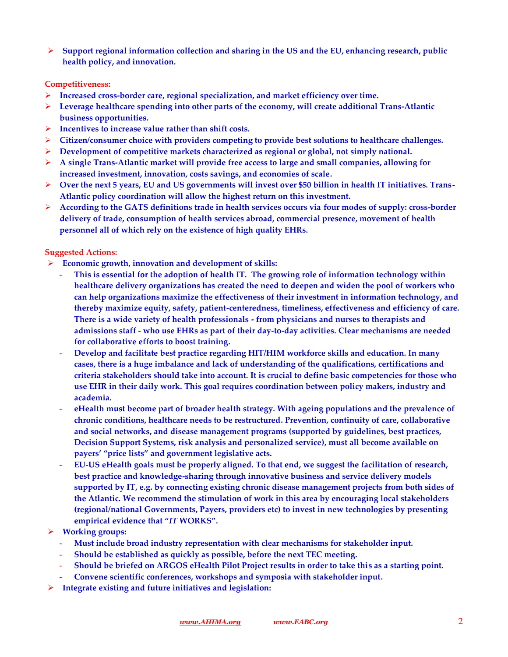**Support regional information collection and sharing in the US and the EU, enhancing research, public health policy, and innovation.** 

### **Competitiveness:**

- **Increased cross-border care, regional specialization, and market efficiency over time.**
- **Leverage healthcare spending into other parts of the economy, will create additional Trans-Atlantic business opportunities.**
- **Incentives to increase value rather than shift costs.**
- **Citizen/consumer choice with providers competing to provide best solutions to healthcare challenges.**
- **Development of competitive markets characterized as regional or global, not simply national.**
- **A single Trans-Atlantic market will provide free access to large and small companies, allowing for increased investment, innovation, costs savings, and economies of scale.**
- **Over the next 5 years, EU and US governments will invest over \$50 billion in health IT initiatives. Trans-Atlantic policy coordination will allow the highest return on this investment.**
- **According to the GATS definitions trade in health services occurs via four modes of supply: cross-border delivery of trade, consumption of health services abroad, commercial presence, movement of health personnel all of which rely on the existence of high quality EHRs.**

### **Suggested Actions:**

- **Economic growth, innovation and development of skills:**
	- **- This is essential for the adoption of health IT. The growing role of information technology within healthcare delivery organizations has created the need to deepen and widen the pool of workers who can help organizations maximize the effectiveness of their investment in information technology, and thereby maximize equity, safety, patient-centeredness, timeliness, effectiveness and efficiency of care. There is a wide variety of health professionals - from physicians and nurses to therapists and admissions staff - who use EHRs as part of their day-to-day activities. Clear mechanisms are needed for collaborative efforts to boost training.**
	- **- Develop and facilitate best practice regarding HIT/HIM workforce skills and education. In many cases, there is a huge imbalance and lack of understanding of the qualifications, certifications and criteria stakeholders should take into account. It is crucial to define basic competencies for those who use EHR in their daily work. This goal requires coordination between policy makers, industry and academia.**
	- **- eHealth must become part of broader health strategy. With ageing populations and the prevalence of chronic conditions, healthcare needs to be restructured. Prevention, continuity of care, collaborative and social networks, and disease management programs (supported by guidelines, best practices, Decision Support Systems, risk analysis and personalized service), must all become available on payers' "price lists" and government legislative acts.**
	- **- EU-US eHealth goals must be properly aligned. To that end, we suggest the facilitation of research, best practice and knowledge-sharing through innovative business and service delivery models supported by IT, e.g. by connecting existing chronic disease management projects from both sides of the Atlantic. We recommend the stimulation of work in this area by encouraging local stakeholders (regional/national Governments, Payers, providers etc) to invest in new technologies by presenting empirical evidence that "***IT* **WORKS".**

## **Working groups:**

- **- Must include broad industry representation with clear mechanisms for stakeholder input.**
- **- Should be established as quickly as possible, before the next TEC meeting.**
- **- Should be briefed on ARGOS eHealth Pilot Project results in order to take this as a starting point.**
- **- Convene scientific conferences, workshops and symposia with stakeholder input.**
- **Integrate existing and future initiatives and legislation:**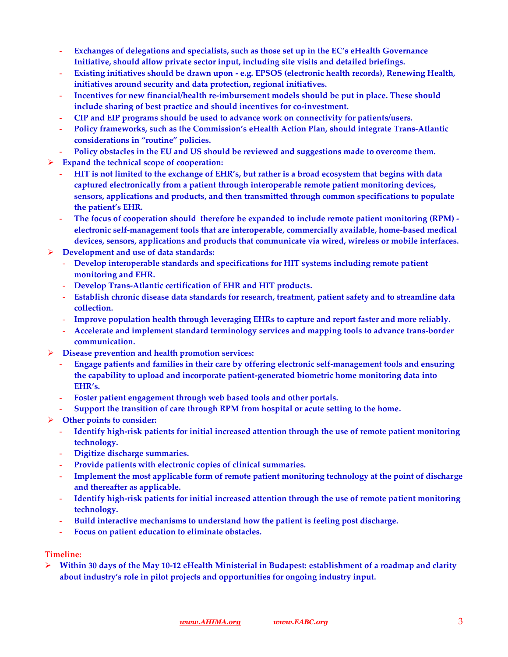- **- Exchanges of delegations and specialists, such as those set up in the EC's eHealth Governance Initiative, should allow private sector input, including site visits and detailed briefings.**
- **- Existing initiatives should be drawn upon - e.g. EPSOS (electronic health records), Renewing Health, initiatives around security and data protection, regional initiatives.**
- **- Incentives for new financial/health re-imbursement models should be put in place. These should include sharing of best practice and should incentives for co-investment.**
- **- CIP and EIP programs should be used to advance work on connectivity for patients/users.**
- **- Policy frameworks, such as the Commission's eHealth Action Plan, should integrate Trans-Atlantic considerations in "routine" policies.**
- **- Policy obstacles in the EU and US should be reviewed and suggestions made to overcome them.**
- **Expand the technical scope of cooperation:**
	- **- HIT is not limited to the exchange of EHR's, but rather is a broad ecosystem that begins with data captured electronically from a patient through interoperable remote patient monitoring devices, sensors, applications and products, and then transmitted through common specifications to populate the patient's EHR.**
	- **- The focus of cooperation should therefore be expanded to include remote patient monitoring (RPM) electronic self-management tools that are interoperable, commercially available, home-based medical devices, sensors, applications and products that communicate via wired, wireless or mobile interfaces.**
- **Development and use of data standards:**
	- **Develop interoperable standards and specifications for HIT systems including remote patient monitoring and EHR.**
	- **Develop Trans-Atlantic certification of EHR and HIT products.**
	- **Establish chronic disease data standards for research, treatment, patient safety and to streamline data collection.**
	- **Improve population health through leveraging EHRs to capture and report faster and more reliably.**
	- **Accelerate and implement standard terminology services and mapping tools to advance trans-border communication.**
- **Disease prevention and health promotion services:**
	- **- Engage patients and families in their care by offering electronic self-management tools and ensuring the capability to upload and incorporate patient-generated biometric home monitoring data into EHR's.**
	- **- Foster patient engagement through web based tools and other portals.**
	- **- Support the transition of care through RPM from hospital or acute setting to the home.**
- **Other points to consider:**
	- **- Identify high-risk patients for initial increased attention through the use of remote patient monitoring technology.**
	- **- Digitize discharge summaries.**
	- **- Provide patients with electronic copies of clinical summaries.**
	- **- Implement the most applicable form of remote patient monitoring technology at the point of discharge and thereafter as applicable.**
	- **- Identify high-risk patients for initial increased attention through the use of remote patient monitoring technology.**
	- **- Build interactive mechanisms to understand how the patient is feeling post discharge.**
	- **- Focus on patient education to eliminate obstacles.**

## **Timeline:**

 **Within 30 days of the May 10-12 eHealth Ministerial in Budapest: establishment of a roadmap and clarity about industry's role in pilot projects and opportunities for ongoing industry input.**